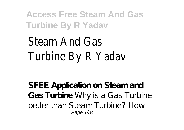# Steam And Gas Turbine By R Yadav

**SFEE Application on Steam and Gas Turbine** Why is a Gas Turbine better than Steam Turbine? How Page 1/84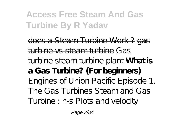does a Steam Turbine Work ? gas turbine vs steam turbine Gas turbine steam turbine plant **What is a Gas Turbine? (For beginners)** *Engines of Union Pacific Episode 1, The Gas Turbines Steam and Gas Turbine : h-s Plots and velocity*

Page 2/84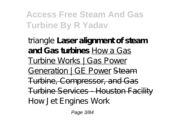*triangle* **Laser alignment of steam and Gas turbines** How a Gas Turbine Works | Gas Power Generation | GE Power Steam Turbine, Compressor, and Gas Turbine Services Houston Facility *How Jet Engines Work*

Page 3/84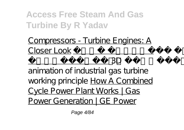Compressors - Turbine Engines: A Closer Look

*D3* يزاغلا نيبروتلا لمع

*animation of industrial gas turbine working principle* How A Combined Cycle Power Plant Works | Gas Power Generation | GE Power

Page 4/84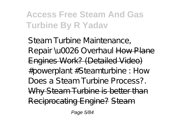*Steam Turbine Maintenance, Repair \u0026 Overhaul* How Plane Engines Work? (Detailed Video) #powerplant #Steamturbine : How Does a Steam Turbine Process?. Why Steam Turbine is better than Reciprocating Engine? Steam

Page 5/84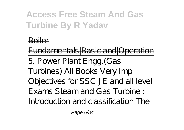#### Boiler

Fundamentals|Basic|and|Operation

5. Power Plant Engg.(Gas Turbines) All Books Very Imp Objectives for SSC JE and all level Exams Steam and Gas Turbine : Introduction and classification The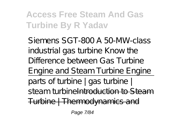Siemens SGT-800 A 50-MW-class industrial gas turbine *Know the Difference between Gas Turbine Engine and Steam Turbine Engine* parts of turbine | gas turbine | steam turbine<del>Introduction to Steam</del> Turbine | Thermodynamics and

Page 7/84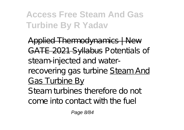Applied Thermodynamics | New GATE 2021 Syllabus *Potentials of steam-injected and waterrecovering gas turbine* Steam And Gas Turbine By

Steam turbines therefore do not come into contact with the fuel

Page 8/84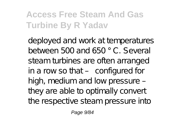deployed and work at temperatures between 500 and 650 °C. Several steam turbines are often arranged in a row so that – configured for high, medium and low pressure – they are able to optimally convert the respective steam pressure into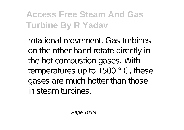rotational movement. Gas turbines on the other hand rotate directly in the hot combustion gases. With temperatures up to 1500 °C, these gases are much hotter than those in steam turbines.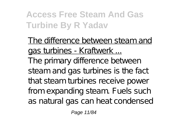The difference between steam and gas turbines - Kraftwerk ... The primary difference between steam and gas turbines is the fact that steam turbines receive power from expanding steam. Fuels such as natural gas can heat condensed

Page 11/84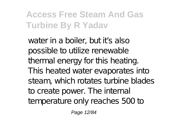water in a boiler, but it's also possible to utilize renewable thermal energy for this heating. This heated water evaporates into steam, which rotates turbine blades to create power. The internal temperature only reaches 500 to

Page 12/84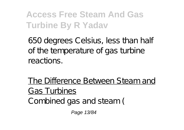650 degrees Celsius, less than half of the temperature of gas turbine reactions.

The Difference Between Steam and Gas Turbines Combined gas and steam (

Page 13/84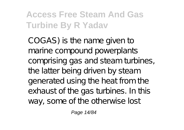COGAS) is the name given to marine compound powerplants comprising gas and steam turbines, the latter being driven by steam generated using the heat from the exhaust of the gas turbines. In this way, some of the otherwise lost

Page 14/84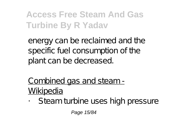energy can be reclaimed and the specific fuel consumption of the plant can be decreased.

Combined gas and steam - **Wikipedia** 

• Steam turbine uses high pressure

Page 15/84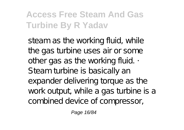steam as the working fluid, while the gas turbine uses air or some other gas as the working fluid. • Steam turbine is basically an expander delivering torque as the work output, while a gas turbine is a combined device of compressor,

Page 16/84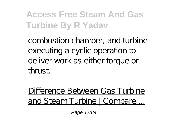combustion chamber, and turbine executing a cyclic operation to deliver work as either torque or thrust.

Difference Between Gas Turbine and Steam Turbine | Compare ...

Page 17/84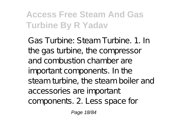Gas Turbine: Steam Turbine. 1. In the gas turbine, the compressor and combustion chamber are important components. In the steam turbine, the steam boiler and accessories are important components. 2. Less space for

Page 18/84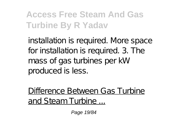installation is required. More space for installation is required. 3. The mass of gas turbines per kW produced is less.

Difference Between Gas Turbine and Steam Turbine ...

Page 19/84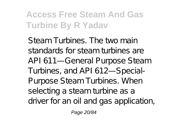Steam Turbines. The two main standards for steam turbines are API 611—General Purpose Steam Turbines, and API 612—Special-Purpose Steam Turbines. When selecting a steam turbine as a driver for an oil and gas application,

Page 20/84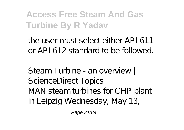the user must select either API 611 or API 612 standard to be followed.

Steam Turbine - an overview | ScienceDirect Topics MAN steam turbines for CHP plant in Leipzig Wednesday, May 13,

Page 21/84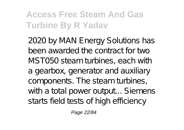2020 by MAN Energy Solutions has been awarded the contract for two MST050 steam turbines, each with a gearbox, generator and auxiliary components. The steam turbines, with a total power output... Siemens starts field tests of high efficiency

Page 22/84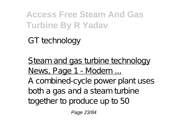GT technology

Steam and gas turbine technology News, Page 1 - Modern ... A combined-cycle power plant uses both a gas and a steam turbine together to produce up to 50

Page 23/84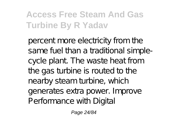percent more electricity from the same fuel than a traditional simplecycle plant. The waste heat from the gas turbine is routed to the nearby steam turbine, which generates extra power. Improve Performance with Digital

Page 24/84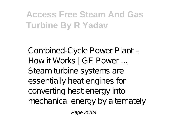Combined-Cycle Power Plant – How it Works | GE Power ... Steam turbine systems are essentially heat engines for converting heat energy into mechanical energy by alternately

Page 25/84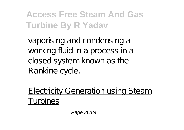vaporising and condensing a working fluid in a process in a closed system known as the Rankine cycle.

Electricity Generation using Steam Turbines

Page 26/84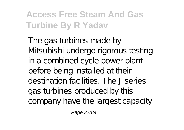The gas turbines made by Mitsubishi undergo rigorous testing in a combined cycle power plant before being installed at their destination facilities. The J series gas turbines produced by this company have the largest capacity

Page 27/84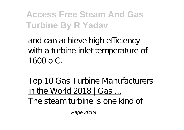and can achieve high efficiency with a turbine inlet temperature of 1600 o C.

Top 10 Gas Turbine Manufacturers in the World  $2018$   $\lfloor$  G as ... The steam turbine is one kind of

Page 28/84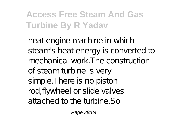heat engine machine in which steam's heat energy is converted to mechanical work.The construction of steam turbine is very simple.There is no piston rod,flywheel or slide valves attached to the turbine.So

Page 29/84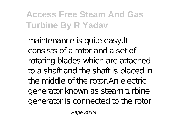maintenance is quite easy.It consists of a rotor and a set of rotating blades which are attached to a shaft and the shaft is placed in the middle of the rotor.An electric generator known as steam turbine generator is connected to the rotor

Page 30/84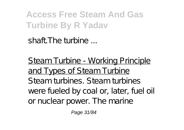$shaffThe$  turbine ...

Steam Turbine - Working Principle and Types of Steam Turbine Steam turbines. Steam turbines were fueled by coal or, later, fuel oil or nuclear power. The marine

Page 31/84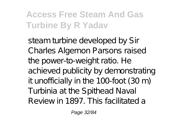steam turbine developed by Sir Charles Algernon Parsons raised the power-to-weight ratio. He achieved publicity by demonstrating it unofficially in the 100-foot (30 m) Turbinia at the Spithead Naval Review in 1897. This facilitated a

Page 32/84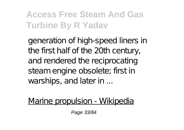generation of high-speed liners in the first half of the 20th century, and rendered the reciprocating steam engine obsolete; first in warships, and later in ...

Marine propulsion - Wikipedia

Page 33/84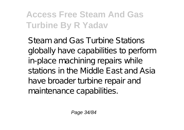Steam and Gas Turbine Stations globally have capabilities to perform in-place machining repairs while stations in the Middle East and Asia have broader turbine repair and maintenance capabilities.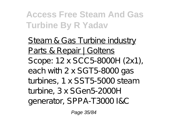Steam & Gas Turbine industry Parts & Repair | Goltens Scope: 12 x SCC5-8000H (2x1), each with 2 x SGT5-8000 gas turbines, 1 x SST5-5000 steam turbine, 3 x SGen5-2000H generator, SPPA-T3000 I&C

Page 35/84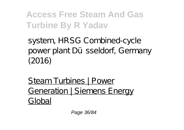system, HRSG Combined-cycle power plant Düsseldorf, Germany (2016)

Steam Turbines | Power Generation | Siemens Energy Global

Page 36/84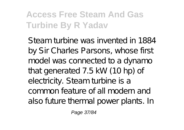Steam turbine was invented in 1884 by Sir Charles Parsons, whose first model was connected to a dynamo that generated 7.5 kW (10 hp) of electricity. Steam turbine is a common feature of all modern and also future thermal power plants. In

Page 37/84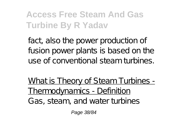fact, also the power production of fusion power plants is based on the use of conventional steam turbines.

What is Theory of Steam Turbines -Thermodynamics - Definition Gas, steam, and water turbines

Page 38/84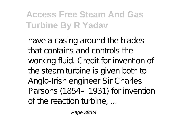have a casing around the blades that contains and controls the working fluid. Credit for invention of the steam turbine is given both to Anglo-Irish engineer Sir Charles Parsons (1854–1931) for invention of the reaction turbine, ...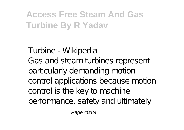#### Turbine - Wikipedia

Gas and steam turbines represent particularly demanding motion control applications because motion control is the key to machine performance, safety and ultimately

Page 40/84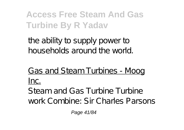the ability to supply power to households around the world.

Gas and Steam Turbines - Moog Inc.

Steam and Gas Turbine Turbine work Combine: Sir Charles Parsons

Page 41/84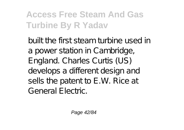built the first steam turbine used in a power station in Cambridge, England. Charles Curtis (US) develops a different design and sells the patent to E.W. Rice at General Electric.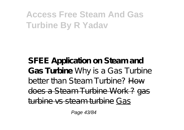**SFEE Application on Steam and Gas Turbine** Why is a Gas Turbine better than Steam Turbine? How does a Steam Turbine Work ? gas turbine vs steam turbine Gas

Page 43/84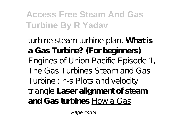turbine steam turbine plant **What is a Gas Turbine? (For beginners)** *Engines of Union Pacific Episode 1, The Gas Turbines Steam and Gas Turbine : h-s Plots and velocity triangle* **Laser alignment of steam and Gas turbines** How a Gas

Page 44/84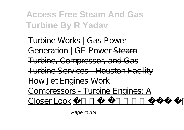Turbine Works | Gas Power Generation | GE Power Steam Turbine, Compressor, and Gas Turbine Services Houston Facility *How Jet Engines Work* Compressors - Turbine Engines: A Closer Look

Page 45/84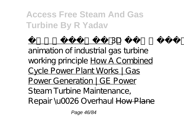*D3* يزاغلا نيبروتلا لمع *animation of industrial gas turbine working principle* How A Combined Cycle Power Plant Works | Gas Power Generation | GE Power *Steam Turbine Maintenance, Repair \u0026 Overhaul* How Plane

Page 46/84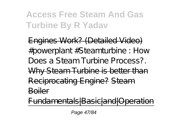Engines Work? (Detailed Video) #powerplant #Steam turbine : How Does a Steam Turbine Process?. Why Steam Turbine is better than Reciprocating Engine? Steam Boiler Fundamentals|Basic|and|Operation

Page 47/84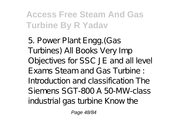5. Power Plant Engg.(Gas Turbines) All Books Very Imp Objectives for SSC JE and all level Exams Steam and Gas Turbine : Introduction and classification The Siemens SGT-800 A 50-MW-class industrial gas turbine *Know the*

Page 48/84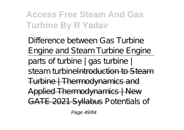*Difference between Gas Turbine Engine and Steam Turbine Engine* parts of turbine  $|$  gas turbine steam turbine<del>Introduction to Steam</del> Turbine | Thermodynamics and Applied Thermodynamics | New GATE 2021 Syllabus *Potentials of*

Page 49/84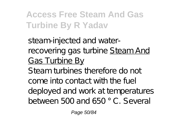*steam-injected and water*recovering gas turbine Steam And Gas Turbine By

Steam turbines therefore do not come into contact with the fuel deployed and work at temperatures between 500 and 650 °C. Several

Page 50/84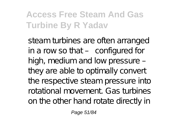steam turbines are often arranged in a row so that – configured for high, medium and low pressure – they are able to optimally convert the respective steam pressure into rotational movement. Gas turbines on the other hand rotate directly in

Page 51/84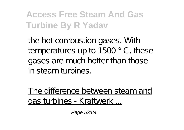the hot combustion gases. With temperatures up to 1500 °C, these gases are much hotter than those in steam turbines.

The difference between steam and gas turbines - Kraftwerk ...

Page 52/84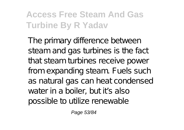The primary difference between steam and gas turbines is the fact that steam turbines receive power from expanding steam. Fuels such as natural gas can heat condensed water in a boiler, but it's also possible to utilize renewable

Page 53/84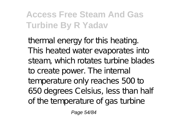thermal energy for this heating. This heated water evaporates into steam, which rotates turbine blades to create power. The internal temperature only reaches 500 to 650 degrees Celsius, less than half of the temperature of gas turbine

Page 54/84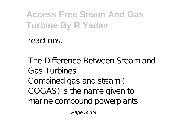reactions.

The Difference Between Steam and Gas Turbines

Combined gas and steam ( COGAS) is the name given to marine compound powerplants

Page 55/84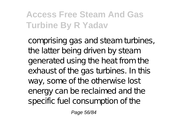comprising gas and steam turbines, the latter being driven by steam generated using the heat from the exhaust of the gas turbines. In this way, some of the otherwise lost energy can be reclaimed and the specific fuel consumption of the

Page 56/84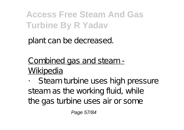plant can be decreased.

Combined gas and steam - Wikipedia

• Steam turbine uses high pressure steam as the working fluid, while the gas turbine uses air or some

Page 57/84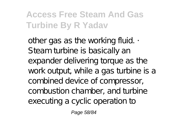other gas as the working fluid. • Steam turbine is basically an expander delivering torque as the work output, while a gas turbine is a combined device of compressor, combustion chamber, and turbine executing a cyclic operation to

Page 58/84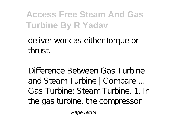deliver work as either torque or thrust.

Difference Between Gas Turbine and Steam Turbine | Compare ... Gas Turbine: Steam Turbine. 1. In the gas turbine, the compressor

Page 59/84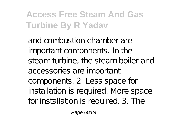and combustion chamber are important components. In the steam turbine, the steam boiler and accessories are important components. 2. Less space for installation is required. More space for installation is required. 3. The

Page 60/84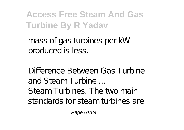mass of gas turbines per kW produced is less.

Difference Between Gas Turbine and Steam Turbine ... Steam Turbines. The two main standards for steam turbines are

Page 61/84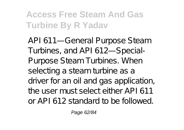API 611—General Purpose Steam Turbines, and API 612—Special-Purpose Steam Turbines. When selecting a steam turbine as a driver for an oil and gas application, the user must select either API 611 or API 612 standard to be followed.

Page 62/84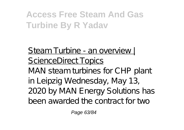Steam Turbine - an overview | ScienceDirect Topics MAN steam turbines for CHP plant in Leipzig Wednesday, May 13, 2020 by MAN Energy Solutions has been awarded the contract for two

Page 63/84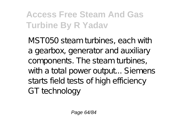MST050 steam turbines, each with a gearbox, generator and auxiliary components. The steam turbines, with a total power output... Siemens starts field tests of high efficiency GT technology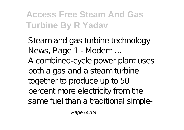Steam and gas turbine technology News, Page 1 - Modern ... A combined-cycle power plant uses both a gas and a steam turbine together to produce up to 50 percent more electricity from the same fuel than a traditional simple-

Page 65/84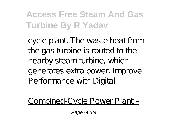cycle plant. The waste heat from the gas turbine is routed to the nearby steam turbine, which generates extra power. Improve Performance with Digital

Combined-Cycle Power Plant –

Page 66/84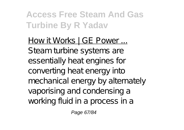How it Works | GE Power ... Steam turbine systems are essentially heat engines for converting heat energy into mechanical energy by alternately vaporising and condensing a working fluid in a process in a

Page 67/84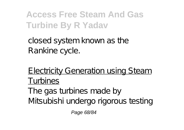closed system known as the Rankine cycle.

**Electricity Generation using Steam** Turbines

The gas turbines made by Mitsubishi undergo rigorous testing

Page 68/84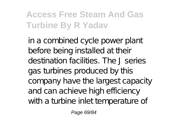in a combined cycle power plant before being installed at their destination facilities. The J series gas turbines produced by this company have the largest capacity and can achieve high efficiency with a turbine inlet temperature of

Page 69/84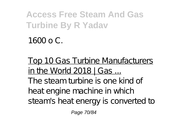1600 o C.

Top 10 Gas Turbine Manufacturers in the World 2018 | Gas ... The steam turbine is one kind of heat engine machine in which steam's heat energy is converted to

Page 70/84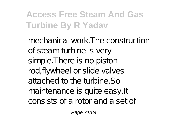mechanical work.The construction of steam turbine is very simple.There is no piston rod,flywheel or slide valves attached to the turbine.So maintenance is quite easy.It consists of a rotor and a set of

Page 71/84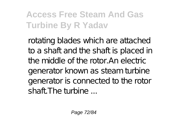rotating blades which are attached to a shaft and the shaft is placed in the middle of the rotor.An electric generator known as steam turbine generator is connected to the rotor shaft.The turbine ...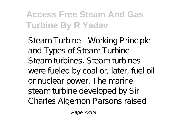Steam Turbine - Working Principle and Types of Steam Turbine Steam turbines. Steam turbines were fueled by coal or, later, fuel oil or nuclear power. The marine steam turbine developed by Sir Charles Algernon Parsons raised

Page 73/84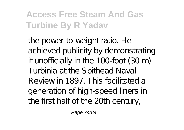the power-to-weight ratio. He achieved publicity by demonstrating it unofficially in the 100-foot (30 m) Turbinia at the Spithead Naval Review in 1897. This facilitated a generation of high-speed liners in the first half of the 20th century,

Page 74/84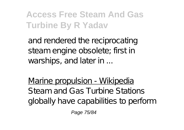and rendered the reciprocating steam engine obsolete; first in warships, and later in ...

Marine propulsion - Wikipedia Steam and Gas Turbine Stations globally have capabilities to perform

Page 75/84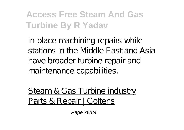in-place machining repairs while stations in the Middle East and Asia have broader turbine repair and maintenance capabilities.

Steam & Gas Turbine industry Parts & Repair | Goltens

Page 76/84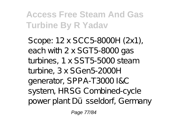Scope: 12 x SCC5-8000H (2x1), each with 2 x SGT5-8000 gas turbines, 1 x SST5-5000 steam turbine, 3 x SGen5-2000H generator, SPPA-T3000 I&C system, HRSG Combined-cycle power plant Düsseldorf, Germany

Page 77/84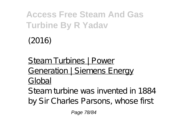Steam Turbines | Power Generation | Siemens Energy Global

Steam turbine was invented in 1884 by Sir Charles Parsons, whose first

Page 78/84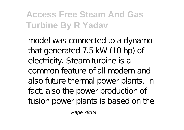model was connected to a dynamo that generated 7.5 kW (10 hp) of electricity. Steam turbine is a common feature of all modern and also future thermal power plants. In fact, also the power production of fusion power plants is based on the

Page 79/84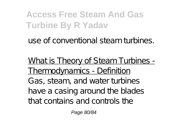use of conventional steam turbines.

What is Theory of Steam Turbines -Thermodynamics - Definition Gas, steam, and water turbines have a casing around the blades that contains and controls the

Page 80/84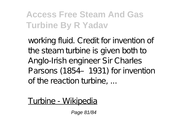working fluid. Credit for invention of the steam turbine is given both to Anglo-Irish engineer Sir Charles Parsons (1854–1931) for invention of the reaction turbine, ...

Turbine - Wikipedia

Page 81/84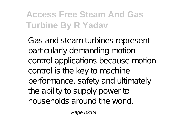Gas and steam turbines represent particularly demanding motion control applications because motion control is the key to machine performance, safety and ultimately the ability to supply power to households around the world.

Page 82/84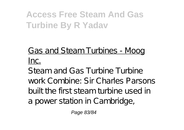#### Gas and Steam Turbines - Moog Inc.

Steam and Gas Turbine Turbine work Combine: Sir Charles Parsons built the first steam turbine used in a power station in Cambridge,

Page 83/84